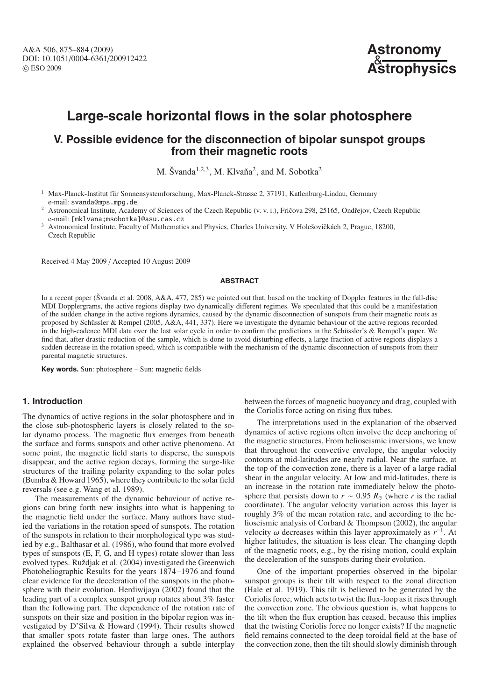

# **Large-scale horizontal flows in the solar photosphere**

# **V. Possible evidence for the disconnection of bipolar sunspot groups from their magnetic roots**

M. Švanda<sup>1,2,3</sup>, M. Klvaňa<sup>2</sup>, and M. Sobotka<sup>2</sup>

<sup>1</sup> Max-Planck-Institut für Sonnensystemforschung, Max-Planck-Strasse 2, 37191, Katlenburg-Lindau, Germany e-mail: svanda@mps.mpg.de

Astronomical Institute, Academy of Sciences of the Czech Republic (v. v. i.), Fričova 298, 25165, Ondřejov, Czech Republic e-mail: [mklvana;msobotka]@asu.cas.cz

Astronomical Institute, Faculty of Mathematics and Physics, Charles University, V Holešovičkách 2, Prague, 18200, Czech Republic

Received 4 May 2009 / Accepted 10 August 2009

#### **ABSTRACT**

In a recent paper (Švanda et al. 2008, A&A, 477, 285) we pointed out that, based on the tracking of Doppler features in the full-disc MDI Dopplergrams, the active regions display two dynamically different regimes. We speculated that this could be a manifestation of the sudden change in the active regions dynamics, caused by the dynamic disconnection of sunspots from their magnetic roots as proposed by Schüssler & Rempel (2005, A&A, 441, 337). Here we investigate the dynamic behaviour of the active regions recorded in the high-cadence MDI data over the last solar cycle in order to confirm the predictions in the Schüssler's & Rempel's paper. We find that, after drastic reduction of the sample, which is done to avoid disturbing effects, a large fraction of active regions displays a sudden decrease in the rotation speed, which is compatible with the mechanism of the dynamic disconnection of sunspots from their parental magnetic structures.

**Key words.** Sun: photosphere – Sun: magnetic fields

# **1. Introduction**

The dynamics of active regions in the solar photosphere and in the close sub-photospheric layers is closely related to the solar dynamo process. The magnetic flux emerges from beneath the surface and forms sunspots and other active phenomena. At some point, the magnetic field starts to disperse, the sunspots disappear, and the active region decays, forming the surge-like structures of the trailing polarity expanding to the solar poles (Bumba & Howard 1965), where they contribute to the solar field reversals (see e.g. Wang et al. 1989).

The measurements of the dynamic behaviour of active regions can bring forth new insights into what is happening to the magnetic field under the surface. Many authors have studied the variations in the rotation speed of sunspots. The rotation of the sunspots in relation to their morphological type was studied by e.g., Balthasar et al. (1986), who found that more evolved types of sunspots (E, F, G, and H types) rotate slower than less evolved types. Ruždjak et al. (2004) investigated the Greenwich Photoheliographic Results for the years 1874−1976 and found clear evidence for the deceleration of the sunspots in the photosphere with their evolution. Herdiwijaya (2002) found that the leading part of a complex sunspot group rotates about 3% faster than the following part. The dependence of the rotation rate of sunspots on their size and position in the bipolar region was investigated by D'Silva & Howard (1994). Their results showed that smaller spots rotate faster than large ones. The authors explained the observed behaviour through a subtle interplay

between the forces of magnetic buoyancy and drag, coupled with the Coriolis force acting on rising flux tubes.

The interpretations used in the explanation of the observed dynamics of active regions often involve the deep anchoring of the magnetic structures. From helioseismic inversions, we know that throughout the convective envelope, the angular velocity contours at mid-latitudes are nearly radial. Near the surface, at the top of the convection zone, there is a layer of a large radial shear in the angular velocity. At low and mid-latitudes, there is an increase in the rotation rate immediately below the photosphere that persists down to  $r \sim 0.95 R_{\odot}$  (where *r* is the radial coordinate). The angular velocity variation across this layer is roughly 3% of the mean rotation rate, and according to the helioseismic analysis of Corbard & Thompson (2002), the angular velocity  $\omega$  decreases within this layer approximately as  $r^{-1}$ . At higher latitudes, the situation is less clear. The changing depth of the magnetic roots, e.g., by the rising motion, could explain the deceleration of the sunspots during their evolution.

One of the important properties observed in the bipolar sunspot groups is their tilt with respect to the zonal direction (Hale et al. 1919). This tilt is believed to be generated by the Coriolis force, which acts to twist the flux-loop as it rises through the convection zone. The obvious question is, what happens to the tilt when the flux eruption has ceased, because this implies that the twisting Coriolis force no longer exists? If the magnetic field remains connected to the deep toroidal field at the base of the convection zone, then the tilt should slowly diminish through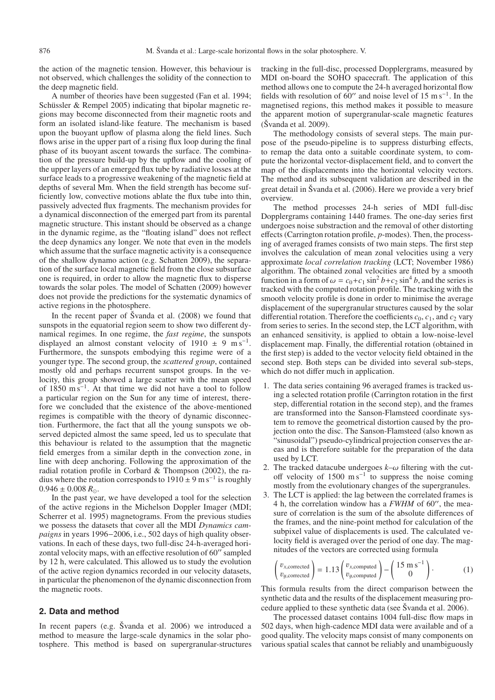the action of the magnetic tension. However, this behaviour is not observed, which challenges the solidity of the connection to the deep magnetic field.

A number of theories have been suggested (Fan et al. 1994; Schüssler & Rempel 2005) indicating that bipolar magnetic regions may become disconnected from their magnetic roots and form an isolated island-like feature. The mechanism is based upon the buoyant upflow of plasma along the field lines. Such flows arise in the upper part of a rising flux loop during the final phase of its buoyant ascent towards the surface. The combination of the pressure build-up by the upflow and the cooling of the upper layers of an emerged flux tube by radiative losses at the surface leads to a progressive weakening of the magnetic field at depths of several Mm. When the field strength has become sufficiently low, convective motions ablate the flux tube into thin, passively advected flux fragments. The mechanism provides for a dynamical disconnection of the emerged part from its parental magnetic structure. This instant should be observed as a change in the dynamic regime, as the "floating island" does not reflect the deep dynamics any longer. We note that even in the models which assume that the surface magnetic activity is a consequence of the shallow dynamo action (e.g. Schatten 2009), the separation of the surface local magnetic field from the close subsurface one is required, in order to allow the magnetic flux to disperse towards the solar poles. The model of Schatten (2009) however does not provide the predictions for the systematic dynamics of active regions in the photosphere.

In the recent paper of Švanda et al. (2008) we found that sunspots in the equatorial region seem to show two different dynamical regimes. In one regime, the *fast regime*, the sunspots displayed an almost constant velocity of 1910  $\pm$  9 m s<sup>-1</sup>. Furthermore, the sunspots embodying this regime were of a younger type. The second group, the *scattered group*, contained mostly old and perhaps recurrent sunspot groups. In the velocity, this group showed a large scatter with the mean speed of 1850 m s−1. At that time we did not have a tool to follow a particular region on the Sun for any time of interest, therefore we concluded that the existence of the above-mentioned regimes is compatible with the theory of dynamic disconnection. Furthermore, the fact that all the young sunspots we observed depicted almost the same speed, led us to speculate that this behaviour is related to the assumption that the magnetic field emerges from a similar depth in the convection zone, in line with deep anchoring. Following the approximation of the radial rotation profile in Corbard & Thompson (2002), the radius where the rotation corresponds to  $1910 \pm 9$  m s<sup>-1</sup> is roughly  $0.946 \pm 0.008 R_{\odot}$ .

In the past year, we have developed a tool for the selection of the active regions in the Michelson Doppler Imager (MDI; Scherrer et al. 1995) magnetograms. From the previous studies we possess the datasets that cover all the MDI *Dynamics campaigns* in years 1996−2006, i.e., 502 days of high quality observations. In each of these days, two full-disc 24-h-averaged horizontal velocity maps, with an effective resolution of 60" sampled by 12 h, were calculated. This allowed us to study the evolution of the active region dynamics recorded in our velocity datasets, in particular the phenomenon of the dynamic disconnection from the magnetic roots.

#### **2. Data and method**

In recent papers (e.g. Švanda et al. 2006) we introduced a method to measure the large-scale dynamics in the solar photosphere. This method is based on supergranular-structures tracking in the full-disc, processed Dopplergrams, measured by MDI on-board the SOHO spacecraft. The application of this method allows one to compute the 24-h averaged horizontal flow fields with resolution of 60" and noise level of 15 m s<sup>-1</sup>. In the magnetised regions, this method makes it possible to measure the apparent motion of supergranular-scale magnetic features (Švanda et al. 2009).

The methodology consists of several steps. The main purpose of the pseudo-pipeline is to suppress disturbing effects, to remap the data onto a suitable coordinate system, to compute the horizontal vector-displacement field, and to convert the map of the displacements into the horizontal velocity vectors. The method and its subsequent validation are described in the great detail in Švanda et al. (2006). Here we provide a very brief overview.

The method processes 24-h series of MDI full-disc Dopplergrams containing 1440 frames. The one-day series first undergoes noise substraction and the removal of other distorting effects (Carrington rotation profile, *p*-modes). Then, the processing of averaged frames consists of two main steps. The first step involves the calculation of mean zonal velocities using a very approximate *local correlation tracking* (LCT; November 1986) algorithm. The obtained zonal velocities are fitted by a smooth function in a form of  $\omega = c_0 + c_1 \sin^2 b + c_2 \sin^4 b$ , and the series is tracked with the computed rotation profile. The tracking with the smooth velocity profile is done in order to minimise the average displacement of the supergranular structures caused by the solar differential rotation. Therefore the coefficients  $c_0$ ,  $c_1$ , and  $c_2$  vary from series to series. In the second step, the LCT algorithm, with an enhanced sensitivity, is applied to obtain a low-noise-level displacement map. Finally, the differential rotation (obtained in the first step) is added to the vector velocity field obtained in the second step. Both steps can be divided into several sub-steps, which do not differ much in application.

- 1. The data series containing 96 averaged frames is tracked using a selected rotation profile (Carrington rotation in the first step, differential rotation in the second step), and the frames are transformed into the Sanson-Flamsteed coordinate system to remove the geometrical distortion caused by the projection onto the disc. The Sanson-Flamsteed (also known as "sinusoidal") pseudo-cylindrical projection conserves the areas and is therefore suitable for the preparation of the data used by LCT.
- 2. The tracked datacube undergoes  $k-\omega$  filtering with the cutoff velocity of  $1500 \text{ m s}^{-1}$  to suppress the noise coming mostly from the evolutionary changes of the supergranules.
- 3. The LCT is applied: the lag between the correlated frames is 4 h, the correlation window has a *FWHM* of 60", the measure of correlation is the sum of the absolute differences of the frames, and the nine-point method for calculation of the subpixel value of displacements is used. The calculated velocity field is averaged over the period of one day. The magnitudes of the vectors are corrected using formula

$$
\begin{pmatrix} v_{x,\text{corrected}} \\ v_{y,\text{corrected}} \end{pmatrix} = 1.13 \begin{pmatrix} v_{x,\text{computed}} \\ v_{y,\text{computed}} \end{pmatrix} - \begin{pmatrix} 15 \text{ m s}^{-1} \\ 0 \end{pmatrix}.
$$
 (1)

This formula results from the direct comparison between the synthetic data and the results of the displacement measuring procedure applied to these synthetic data (see Švanda et al. 2006).

The processed dataset contains 1004 full-disc flow maps in 502 days, when high-cadence MDI data were available and of a good quality. The velocity maps consist of many components on various spatial scales that cannot be reliably and unambiguously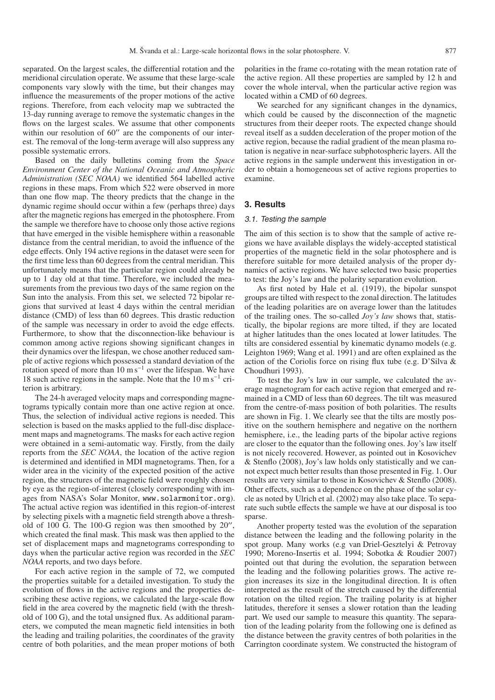separated. On the largest scales, the differential rotation and the meridional circulation operate. We assume that these large-scale components vary slowly with the time, but their changes may influence the measurements of the proper motions of the active regions. Therefore, from each velocity map we subtracted the 13-day running average to remove the systematic changes in the flows on the largest scales. We assume that other components within our resolution of  $60''$  are the components of our interest. The removal of the long-term average will also suppress any possible systematic errors.

Based on the daily bulletins coming from the *Space Environment Center of the National Oceanic and Atmospheric Administration (SEC NOAA)* we identified 564 labelled active regions in these maps. From which 522 were observed in more than one flow map. The theory predicts that the change in the dynamic regime should occur within a few (perhaps three) days after the magnetic regions has emerged in the photosphere. From the sample we therefore have to choose only those active regions that have emerged in the visible hemisphere within a reasonable distance from the central meridian, to avoid the influence of the edge effects. Only 194 active regions in the dataset were seen for the first time less than 60 degrees from the central meridian. This unfortunately means that the particular region could already be up to 1 day old at that time. Therefore, we included the measurements from the previous two days of the same region on the Sun into the analysis. From this set, we selected 72 bipolar regions that survived at least 4 days within the central meridian distance (CMD) of less than 60 degrees. This drastic reduction of the sample was necessary in order to avoid the edge effects. Furthermore, to show that the disconnection-like behaviour is common among active regions showing significant changes in their dynamics over the lifespan, we chose another reduced sample of active regions which possessed a standard deviation of the rotation speed of more than  $10 \text{ m s}^{-1}$  over the lifespan. We have 18 such active regions in the sample. Note that the 10 m s−<sup>1</sup> criterion is arbitrary.

The 24-h averaged velocity maps and corresponding magnetograms typically contain more than one active region at once. Thus, the selection of individual active regions is needed. This selection is based on the masks applied to the full-disc displacement maps and magnetograms. The masks for each active region were obtained in a semi-automatic way. Firstly, from the daily reports from the *SEC NOAA*, the location of the active region is determined and identified in MDI magnetograms. Then, for a wider area in the vicinity of the expected position of the active region, the structures of the magnetic field were roughly chosen by eye as the region-of-interest (closely corresponding with images from NASA's Solar Monitor, www.solarmonitor.org). The actual active region was identified in this region-of-interest by selecting pixels with a magnetic field strength above a threshold of 100 G. The 100-G region was then smoothed by  $20''$ , which created the final mask. This mask was then applied to the set of displacement maps and magnetograms corresponding to days when the particular active region was recorded in the *SEC NOAA* reports, and two days before.

For each active region in the sample of 72, we computed the properties suitable for a detailed investigation. To study the evolution of flows in the active regions and the properties describing these active regions, we calculated the large-scale flow field in the area covered by the magnetic field (with the threshold of 100 G), and the total unsigned flux. As additional parameters, we computed the mean magnetic field intensities in both the leading and trailing polarities, the coordinates of the gravity centre of both polarities, and the mean proper motions of both

polarities in the frame co-rotating with the mean rotation rate of the active region. All these properties are sampled by 12 h and cover the whole interval, when the particular active region was located within a CMD of 60 degrees.

We searched for any significant changes in the dynamics, which could be caused by the disconnection of the magnetic structures from their deeper roots. The expected change should reveal itself as a sudden deceleration of the proper motion of the active region, because the radial gradient of the mean plasma rotation is negative in near-surface subphotospheric layers. All the active regions in the sample underwent this investigation in order to obtain a homogeneous set of active regions properties to examine.

# **3. Results**

#### 3.1. Testing the sample

The aim of this section is to show that the sample of active regions we have available displays the widely-accepted statistical properties of the magnetic field in the solar photosphere and is therefore suitable for more detailed analysis of the proper dynamics of active regions. We have selected two basic properties to test: the Joy's law and the polarity separation evolution.

As first noted by Hale et al. (1919), the bipolar sunspot groups are tilted with respect to the zonal direction. The latitudes of the leading polarities are on average lower than the latitudes of the trailing ones. The so-called *Joy's law* shows that, statistically, the bipolar regions are more tilted, if they are located at higher latitudes than the ones located at lower latitudes. The tilts are considered essential by kinematic dynamo models (e.g. Leighton 1969; Wang et al. 1991) and are often explained as the action of the Coriolis force on rising flux tube (e.g. D'Silva & Choudhuri 1993).

To test the Joy's law in our sample, we calculated the average magnetogram for each active region that emerged and remained in a CMD of less than 60 degrees. The tilt was measured from the centre-of-mass position of both polarities. The results are shown in Fig. 1. We clearly see that the tilts are mostly positive on the southern hemisphere and negative on the northern hemisphere, i.e., the leading parts of the bipolar active regions are closer to the equator than the following ones. Joy's law itself is not nicely recovered. However, as pointed out in Kosovichev & Stenflo (2008), Joy's law holds only statistically and we cannot expect much better results than those presented in Fig. 1. Our results are very similar to those in Kosovichev & Stenflo (2008). Other effects, such as a dependence on the phase of the solar cycle as noted by Ulrich et al. (2002) may also take place. To separate such subtle effects the sample we have at our disposal is too sparse.

Another property tested was the evolution of the separation distance between the leading and the following polarity in the spot group. Many works (e.g van Driel-Gesztelyi & Petrovay 1990; Moreno-Insertis et al. 1994; Sobotka & Roudier 2007) pointed out that during the evolution, the separation between the leading and the following polarities grows. The active region increases its size in the longitudinal direction. It is often interpreted as the result of the stretch caused by the differential rotation on the tilted region. The trailing polarity is at higher latitudes, therefore it senses a slower rotation than the leading part. We used our sample to measure this quantity. The separation of the leading polarity from the following one is defined as the distance between the gravity centres of both polarities in the Carrington coordinate system. We constructed the histogram of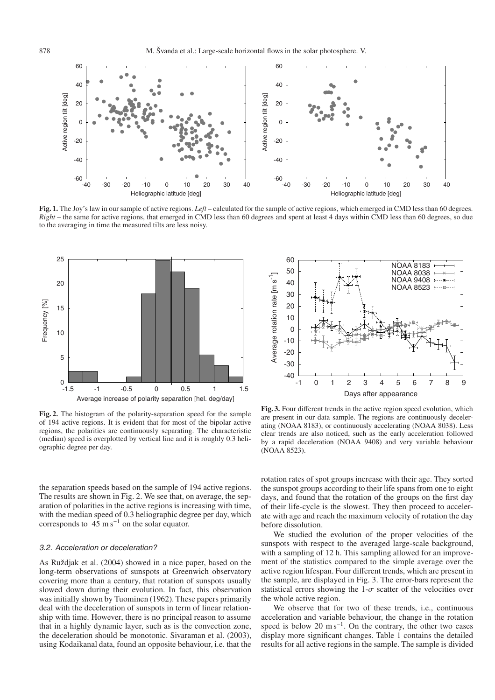

**Fig. 1.** The Joy's law in our sample of active regions. *Left* – calculated for the sample of active regions, which emerged in CMD less than 60 degrees. *Right* – the same for active regions, that emerged in CMD less than 60 degrees and spent at least 4 days within CMD less than 60 degrees, so due to the averaging in time the measured tilts are less noisy.



**Fig. 2.** The histogram of the polarity-separation speed for the sample of 194 active regions. It is evident that for most of the bipolar active regions, the polarities are continuously separating. The characteristic (median) speed is overplotted by vertical line and it is roughly 0.3 heliographic degree per day.

the separation speeds based on the sample of 194 active regions. The results are shown in Fig. 2. We see that, on average, the separation of polarities in the active regions is increasing with time, with the median speed of 0.3 heliographic degree per day, which corresponds to  $4\overline{5}$  m s<sup>-1</sup> on the solar equator.

#### 3.2. Acceleration or deceleration?

As Ruždjak et al. (2004) showed in a nice paper, based on the long-term observations of sunspots at Greenwich observatory covering more than a century, that rotation of sunspots usually slowed down during their evolution. In fact, this observation was initially shown by Tuominen (1962). These papers primarily deal with the deceleration of sunspots in term of linear relationship with time. However, there is no principal reason to assume that in a highly dynamic layer, such as is the convection zone, the deceleration should be monotonic. Sivaraman et al. (2003), using Kodaikanal data, found an opposite behaviour, i.e. that the



**Fig. 3.** Four different trends in the active region speed evolution, which are present in our data sample. The regions are continuously decelerating (NOAA 8183), or continuously accelerating (NOAA 8038). Less clear trends are also noticed, such as the early acceleration followed by a rapid deceleration (NOAA 9408) and very variable behaviour (NOAA 8523).

rotation rates of spot groups increase with their age. They sorted the sunspot groups according to their life spans from one to eight days, and found that the rotation of the groups on the first day of their life-cycle is the slowest. They then proceed to accelerate with age and reach the maximum velocity of rotation the day before dissolution.

We studied the evolution of the proper velocities of the sunspots with respect to the averaged large-scale background, with a sampling of 12 h. This sampling allowed for an improvement of the statistics compared to the simple average over the active region lifespan. Four different trends, which are present in the sample, are displayed in Fig. 3. The error-bars represent the statistical errors showing the 1- $\sigma$  scatter of the velocities over the whole active region.

We observe that for two of these trends, i.e., continuous acceleration and variable behaviour, the change in the rotation speed is below 20 m s<sup> $-1$ </sup>. On the contrary, the other two cases display more significant changes. Table 1 contains the detailed results for all active regions in the sample. The sample is divided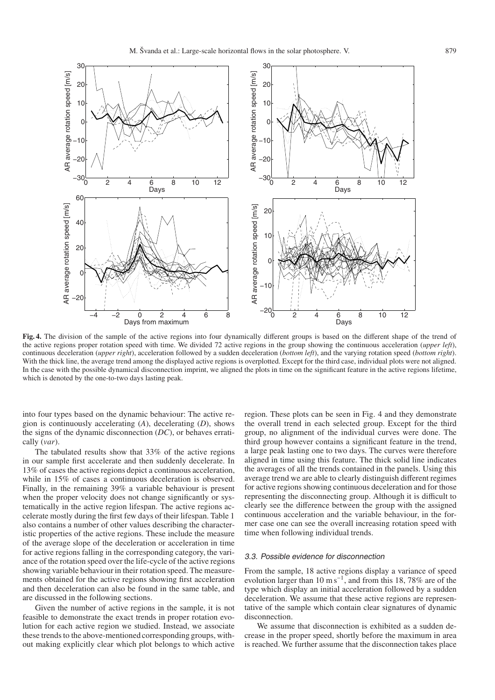

**Fig. 4.** The division of the sample of the active regions into four dynamically different groups is based on the different shape of the trend of the active regions proper rotation speed with time. We divided 72 active regions in the group showing the continuous acceleration (*upper left*), continuous deceleration (*upper right*), acceleration followed by a sudden deceleration (*bottom left*), and the varying rotation speed (*bottom right*). With the thick line, the average trend among the displayed active regions is overplotted. Except for the third case, individual plots were not aligned. In the case with the possible dynamical disconnection imprint, we aligned the plots in time on the significant feature in the active regions lifetime, which is denoted by the one-to-two days lasting peak.

into four types based on the dynamic behaviour: The active region is continuously accelerating (*A*), decelerating (*D*), shows the signs of the dynamic disconnection (*DC*), or behaves erratically (*var*).

The tabulated results show that 33% of the active regions in our sample first accelerate and then suddenly decelerate. In 13% of cases the active regions depict a continuous acceleration, while in 15% of cases a continuous deceleration is observed. Finally, in the remaining 39% a variable behaviour is present when the proper velocity does not change significantly or systematically in the active region lifespan. The active regions accelerate mostly during the first few days of their lifespan. Table 1 also contains a number of other values describing the characteristic properties of the active regions. These include the measure of the average slope of the deceleration or acceleration in time for active regions falling in the corresponding category, the variance of the rotation speed over the life-cycle of the active regions showing variable behaviour in their rotation speed. The measurements obtained for the active regions showing first acceleration and then deceleration can also be found in the same table, and are discussed in the following sections.

Given the number of active regions in the sample, it is not feasible to demonstrate the exact trends in proper rotation evolution for each active region we studied. Instead, we associate these trends to the above-mentioned corresponding groups, without making explicitly clear which plot belongs to which active

region. These plots can be seen in Fig. 4 and they demonstrate the overall trend in each selected group. Except for the third group, no alignment of the individual curves were done. The third group however contains a significant feature in the trend, a large peak lasting one to two days. The curves were therefore aligned in time using this feature. The thick solid line indicates the averages of all the trends contained in the panels. Using this average trend we are able to clearly distinguish different regimes for active regions showing continuous deceleration and for those representing the disconnecting group. Although it is difficult to clearly see the difference between the group with the assigned continuous acceleration and the variable behaviour, in the former case one can see the overall increasing rotation speed with time when following individual trends.

#### 3.3. Possible evidence for disconnection

From the sample, 18 active regions display a variance of speed evolution larger than 10 m s<sup>-1</sup>, and from this 18, 78% are of the type which display an initial acceleration followed by a sudden deceleration. We assume that these active regions are representative of the sample which contain clear signatures of dynamic disconnection.

We assume that disconnection is exhibited as a sudden decrease in the proper speed, shortly before the maximum in area is reached. We further assume that the disconnection takes place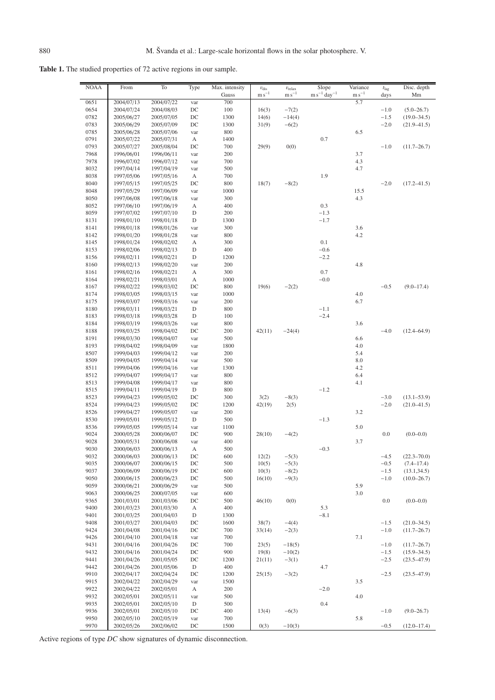**Table 1.** The studied properties of 72 active regions in our sample.

| <b>NOAA</b>  | From                     | To                       | Type                    | Max. intensity | $v_{\text{dis}}$ | $v_{\text{relax}}$ | Slope                               | Variance   | $t_{\rm{lag}}$ | Disc. depth     |
|--------------|--------------------------|--------------------------|-------------------------|----------------|------------------|--------------------|-------------------------------------|------------|----------------|-----------------|
|              |                          |                          |                         | Gauss          | $\rm m\,s^{-1}$  | $\rm m\,s^{-1}$    | $\text{m s}^{-1}$ day <sup>-1</sup> | $m s^{-1}$ | days           | Mm              |
| 0651<br>0654 | 2004/07/13<br>2004/07/24 | 2004/07/22<br>2004/08/03 | var<br>$_{\mathrm{DC}}$ | 700<br>100     | 16(3)            | $-7(2)$            |                                     | 5.7        | $-1.0$         | $(5.0 - 26.7)$  |
| 0782         | 2005/06/27               | 2005/07/05               | DC                      | 1300           | 14(6)            | $-14(4)$           |                                     |            | $-1.5$         | $(19.0 - 34.5)$ |
| 0783         | 2005/06/29               | 2005/07/09               | DC                      | 1300           | 31(9)            | $-6(2)$            |                                     |            | $-2.0$         | $(21.9 - 41.5)$ |
| 0785         | 2005/06/28               | 2005/07/06               | var                     | 800            |                  |                    |                                     | 6.5        |                |                 |
| 0791         | 2005/07/22               | 2005/07/31               | А                       | 1400           |                  |                    | 0.7                                 |            |                |                 |
| 0793         | 2005/07/27               | 2005/08/04               | DC                      | 700            | 29(9)            | 0(0)               |                                     |            | $-1.0$         | $(11.7 - 26.7)$ |
| 7968         | 1996/06/01               | 1996/06/11               | var                     | 200            |                  |                    |                                     | 3.7        |                |                 |
| 7978         | 1996/07/02               | 1996/07/12               | var                     | 700            |                  |                    |                                     | 4.3        |                |                 |
| 8032         | 1997/04/14               | 1997/04/19<br>1997/05/16 | var                     | 500            |                  |                    |                                     | 4.7        |                |                 |
| 8038<br>8040 | 1997/05/06<br>1997/05/15 | 1997/05/25               | А<br>$_{\mathrm{DC}}$   | 700<br>800     | 18(7)            | $-8(2)$            | 1.9                                 |            | $-2.0$         | $(17.2 - 41.5)$ |
| 8048         | 1997/05/29               | 1997/06/09               | var                     | 1000           |                  |                    |                                     | 15.5       |                |                 |
| 8050         | 1997/06/08               | 1997/06/18               | var                     | 300            |                  |                    |                                     | 4.3        |                |                 |
| 8052         | 1997/06/10               | 1997/06/19               | А                       | 400            |                  |                    | 0.3                                 |            |                |                 |
| 8059         | 1997/07/02               | 1997/07/10               | D                       | 200            |                  |                    | $-1.3$                              |            |                |                 |
| 8131         | 1998/01/10               | 1998/01/18               | D                       | 1300           |                  |                    | $-1.7$                              |            |                |                 |
| 8141         | 1998/01/18               | 1998/01/26               | var                     | 300            |                  |                    |                                     | 3.6        |                |                 |
| 8142         | 1998/01/20               | 1998/01/28               | var                     | 800            |                  |                    |                                     | 4.2        |                |                 |
| 8145         | 1998/01/24               | 1998/02/02               | А                       | 300            |                  |                    | 0.1                                 |            |                |                 |
| 8153<br>8156 | 1998/02/06               | 1998/02/13<br>1998/02/21 | D<br>D                  | 400<br>1200    |                  |                    | $-0.6$<br>$-2.2$                    |            |                |                 |
| 8160         | 1998/02/11<br>1998/02/13 | 1998/02/20               | var                     | 200            |                  |                    |                                     | 4.8        |                |                 |
| 8161         | 1998/02/16               | 1998/02/21               | А                       | 300            |                  |                    | 0.7                                 |            |                |                 |
| 8164         | 1998/02/21               | 1998/03/01               | А                       | 1000           |                  |                    | $-0.0$                              |            |                |                 |
| 8167         | 1998/02/22               | 1998/03/02               | DC                      | 800            | 19(6)            | $-2(2)$            |                                     |            | $-0.5$         | $(9.0 - 17.4)$  |
| 8174         | 1998/03/05               | 1998/03/15               | var                     | 1000           |                  |                    |                                     | 4.0        |                |                 |
| 8175         | 1998/03/07               | 1998/03/16               | var                     | 200            |                  |                    |                                     | 6.7        |                |                 |
| 8180         | 1998/03/11               | 1998/03/21               | D                       | 800            |                  |                    | $-1.1$                              |            |                |                 |
| 8183         | 1998/03/18               | 1998/03/28               | D                       | 100            |                  |                    | $-2.4$                              |            |                |                 |
| 8184         | 1998/03/19               | 1998/03/26               | var                     | 800            |                  |                    |                                     | 3.6        |                |                 |
| 8188<br>8191 | 1998/03/25<br>1998/03/30 | 1998/04/02<br>1998/04/07 | DC<br>var               | 200<br>500     | 42(11)           | $-24(4)$           |                                     | 6.6        | $-4.0$         | $(12.4 - 64.9)$ |
| 8193         | 1998/04/02               | 1998/04/09               | var                     | 1800           |                  |                    |                                     | 4.0        |                |                 |
| 8507         | 1999/04/03               | 1999/04/12               | var                     | 200            |                  |                    |                                     | 5.4        |                |                 |
| 8509         | 1999/04/05               | 1999/04/14               | var                     | 500            |                  |                    |                                     | 8.0        |                |                 |
| 8511         | 1999/04/06               | 1999/04/16               | var                     | 1300           |                  |                    |                                     | 4.2        |                |                 |
| 8512         | 1999/04/07               | 1999/04/17               | var                     | 800            |                  |                    |                                     | 6.4        |                |                 |
| 8513         | 1999/04/08               | 1999/04/17               | var                     | 800            |                  |                    |                                     | 4.1        |                |                 |
| 8515         | 1999/04/11               | 1999/04/19               | D                       | 800            |                  |                    | $-1.2$                              |            |                |                 |
| 8523         | 1999/04/23               | 1999/05/02<br>1999/05/02 | DC                      | 300            | 3(2)             | $-8(3)$            |                                     |            | $-3.0$         | $(13.1 - 53.9)$ |
| 8524<br>8526 | 1999/04/23<br>1999/04/27 | 1999/05/07               | DC<br>var               | 1200<br>200    | 42(19)           | 2(5)               |                                     | 3.2        | $-2.0$         | $(21.0 - 41.5)$ |
| 8530         | 1999/05/01               | 1999/05/12               | D                       | 500            |                  |                    | $-1.3$                              |            |                |                 |
| 8536         | 1999/05/05               | 1999/05/14               | var                     | 1100           |                  |                    |                                     | 5.0        |                |                 |
| 9024         | 2000/05/28               | 2000/06/07               | DC                      | 900            | 28(10)           | $-4(2)$            |                                     |            | 0.0            | $(0.0 - 0.0)$   |
| 9028         | 2000/05/31               | 2000/06/08               | var                     | 400            |                  |                    |                                     | 3.7        |                |                 |
| 9030         | 2000/06/03               | 2000/06/13               | А                       | 500            |                  |                    | $-0.3$                              |            |                |                 |
| 9032         | 2000/06/03               | 2000/06/13               | DC                      | 600            | 12(2)            | $-5(3)$            |                                     |            | $-4.5$         | $(22.3 - 70.0)$ |
| 9035         | 2000/06/07               | 2000/06/15               | DC                      | 500            | 10(5)            | $-5(3)$            |                                     |            | $-0.5$         | $(7.4 - 17.4)$  |
| 9037         | 2000/06/09               | 2000/06/19               | DC                      | 600            | 10(3)            | $-8(2)$            |                                     |            | $-1.5$         | (13.1, 34.5)    |
| 9050         | 2000/06/15               | 2000/06/23               | DC                      | 500            | 16(10)           | $-9(3)$            |                                     |            | $-1.0$         | $(10.0 - 26.7)$ |
| 9059<br>9063 | 2000/06/21<br>2000/06/25 | 2000/06/29<br>2000/07/05 | var<br>var              | 500<br>600     |                  |                    |                                     | 5.9<br>3.0 |                |                 |
| 9365         | 2001/03/01               | 2001/03/06               | DC                      | 500            | 46(10)           | 0(0)               |                                     |            | 0.0            | $(0.0 - 0.0)$   |
| 9400         | 2001/03/23               | 2001/03/30               | А                       | 400            |                  |                    | 5.3                                 |            |                |                 |
| 9401         | 2001/03/25               | 2001/04/03               | D                       | 1300           |                  |                    | $-8.1$                              |            |                |                 |
| 9408         | 2001/03/27               | 2001/04/03               | $_{\mathrm{DC}}$        | 1600           | 38(7)            | $-4(4)$            |                                     |            | $-1.5$         | $(21.0 - 34.5)$ |
| 9424         | 2001/04/08               | 2001/04/16               | DC                      | 700            | 33(14)           | $-2(3)$            |                                     |            | $-1.0$         | $(11.7 - 26.7)$ |
| 9426         | 2001/04/10               | 2001/04/18               | var                     | 700            |                  |                    |                                     | 7.1        |                |                 |
| 9431         | 2001/04/16               | 2001/04/26               | DC                      | 700            | 23(5)            | $-18(5)$           |                                     |            | $-1.0$         | $(11.7 - 26.7)$ |
| 9432         | 2001/04/16               | 2001/04/24               | DC                      | 900            | 19(8)            | $-10(2)$           |                                     |            | $-1.5$         | $(15.9 - 34.5)$ |
| 9441         | 2001/04/26               | 2001/05/05               | $_{\mathrm{DC}}$        | 1200           | 21(11)           | $-3(1)$            |                                     |            | $-2.5$         | $(23.5 - 47.9)$ |
| 9442         | 2001/04/26               | 2001/05/06               | $\mathbf D$             | 400            |                  |                    | 4.7                                 |            |                |                 |
| 9910<br>9915 | 2002/04/17<br>2002/04/22 | 2002/04/24<br>2002/04/29 | $_{\mathrm{DC}}$        | 1200<br>1500   | 25(15)           | $-3(2)$            |                                     | 3.5        | $-2.5$         | $(23.5 - 47.9)$ |
| 9922         | 2002/04/22               | 2002/05/01               | var<br>А                | 200            |                  |                    | $-2.0$                              |            |                |                 |
| 9932         | 2002/05/01               | 2002/05/11               | var                     | 500            |                  |                    |                                     | 4.0        |                |                 |
| 9935         | 2002/05/01               | 2002/05/10               | D                       | 500            |                  |                    | 0.4                                 |            |                |                 |
| 9936         | 2002/05/01               | 2002/05/10               | DC                      | 400            | 13(4)            | $-6(3)$            |                                     |            | $-1.0$         | $(9.0 - 26.7)$  |
| 9950         | 2002/05/10               | 2002/05/19               | var                     | 700            |                  |                    |                                     | 5.8        |                |                 |
| 9970         | 2002/05/26               | 2002/06/02               | $_{\mathrm{DC}}$        | 1500           | 0(3)             | $-10(3)$           |                                     |            | $-0.5$         | $(12.0 - 17.4)$ |

Active regions of type *DC* show signatures of dynamic disconnection.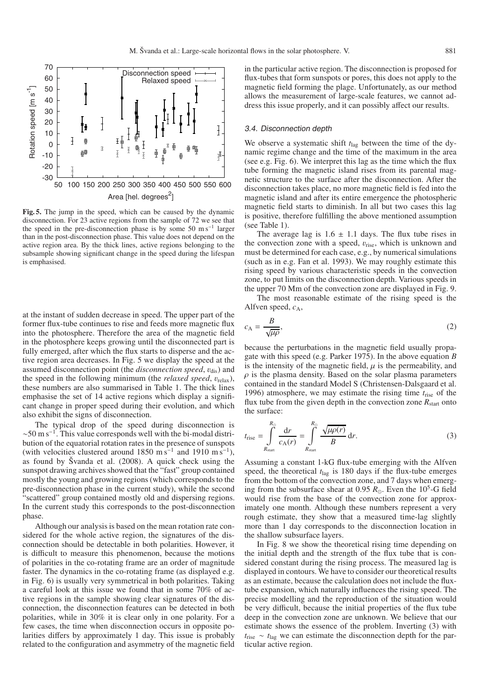

**Fig. 5.** The jump in the speed, which can be caused by the dynamic disconnection. For 23 active regions from the sample of 72 we see that the speed in the pre-disconnection phase is by some 50 m s−<sup>1</sup> larger than in the post-disconnection phase. This value does not depend on the active region area. By the thick lines, active regions belonging to the subsample showing significant change in the speed during the lifespan is emphasised.

at the instant of sudden decrease in speed. The upper part of the former flux-tube continues to rise and feeds more magnetic flux into the photosphere. Therefore the area of the magnetic field in the photosphere keeps growing until the disconnected part is fully emerged, after which the flux starts to disperse and the active region area decreases. In Fig. 5 we display the speed at the assumed disconnection point (the *disconnection speed*,  $v_{dis}$ ) and the speed in the following minimum (the *relaxed speed*,  $v_{relax}$ ), these numbers are also summarised in Table 1. The thick lines emphasise the set of 14 active regions which display a significant change in proper speed during their evolution, and which also exhibit the signs of disconnection.

The typical drop of the speed during disconnection is  $\sim$ 50 m s<sup>-1</sup>. This value corresponds well with the bi-modal distribution of the equatorial rotation rates in the presence of sunspots (with velocities clustered around 1850 m s<sup>-1</sup> and 1910 m s<sup>-1</sup>), as found by Švanda et al. (2008). A quick check using the sunspot drawing archives showed that the "fast" group contained mostly the young and growing regions (which corresponds to the pre-disconnection phase in the current study), while the second "scattered" group contained mostly old and dispersing regions. In the current study this corresponds to the post-disconnection phase.

Although our analysis is based on the mean rotation rate considered for the whole active region, the signatures of the disconnection should be detectable in both polarities. However, it is difficult to measure this phenomenon, because the motions of polarities in the co-rotating frame are an order of magnitude faster. The dynamics in the co-rotating frame (as displayed e.g. in Fig. 6) is usually very symmetrical in both polarities. Taking a careful look at this issue we found that in some 70% of active regions in the sample showing clear signatures of the disconnection, the disconnection features can be detected in both polarities, while in 30% it is clear only in one polarity. For a few cases, the time when disconnection occurs in opposite polarities differs by approximately 1 day. This issue is probably related to the configuration and asymmetry of the magnetic field

in the particular active region. The disconnection is proposed for flux-tubes that form sunspots or pores, this does not apply to the magnetic field forming the plage. Unfortunately, as our method allows the measurement of large-scale features, we cannot address this issue properly, and it can possibly affect our results.

#### 3.4. Disconnection depth

We observe a systematic shift  $t_{\text{lag}}$  between the time of the dynamic regime change and the time of the maximum in the area (see e.g. Fig. 6). We interpret this lag as the time which the flux tube forming the magnetic island rises from its parental magnetic structure to the surface after the disconnection. After the disconnection takes place, no more magnetic field is fed into the magnetic island and after its entire emergence the photospheric magnetic field starts to diminish. In all but two cases this lag is positive, therefore fulfilling the above mentioned assumption (see Table 1).

The average lag is  $1.6 \pm 1.1$  days. The flux tube rises in the convection zone with a speed,  $v_{\text{rise}}$ , which is unknown and must be determined for each case, e.g., by numerical simulations (such as in e.g. Fan et al. 1993). We may roughly estimate this rising speed by various characteristic speeds in the convection zone, to put limits on the disconnection depth. Various speeds in the upper 70 Mm of the convection zone are displayed in Fig. 9.

The most reasonable estimate of the rising speed is the Alfven speed, *c*A,

$$
c_{\rm A} = \frac{B}{\sqrt{\mu \rho}},\tag{2}
$$

because the perturbations in the magnetic field usually propagate with this speed (e.g. Parker 1975). In the above equation *B* is the intensity of the magnetic field,  $\mu$  is the permeability, and  $\rho$  is the plasma density. Based on the solar plasma parameters contained in the standard Model S (Christensen-Dalsgaard et al. 1996) atmosphere, we may estimate the rising time *t*rise of the flux tube from the given depth in the convection zone  $R_{\text{start}}$  onto the surface:

$$
t_{\text{rise}} = \int_{R_{\text{start}}}^{R_{\odot}} \frac{\text{d}r}{c_{\text{A}}(r)} = \int_{R_{\text{start}}}^{R_{\odot}} \frac{\sqrt{\mu \rho(r)}}{B} \text{d}r. \tag{3}
$$

Assuming a constant 1-kG flux-tube emerging with the Alfven speed, the theoretical  $t_{\text{lag}}$  is 180 days if the flux-tube emerges from the bottom of the convection zone, and 7 days when emerging from the subsurface shear at 0.95  $R_{\odot}$ . Even the 10<sup>5</sup>-G field would rise from the base of the convection zone for approximately one month. Although these numbers represent a very rough estimate, they show that a measured time-lag slightly more than 1 day corresponds to the disconnection location in the shallow subsurface layers.

In Fig. 8 we show the theoretical rising time depending on the initial depth and the strength of the flux tube that is considered constant during the rising process. The measured lag is displayed in contours. We have to consider our theoretical results as an estimate, because the calculation does not include the fluxtube expansion, which naturally influences the rising speed. The precise modelling and the reproduction of the situation would be very difficult, because the initial properties of the flux tube deep in the convection zone are unknown. We believe that our estimate shows the essence of the problem. Inverting (3) with *t*rise ∼ *t*lag we can estimate the disconnection depth for the particular active region.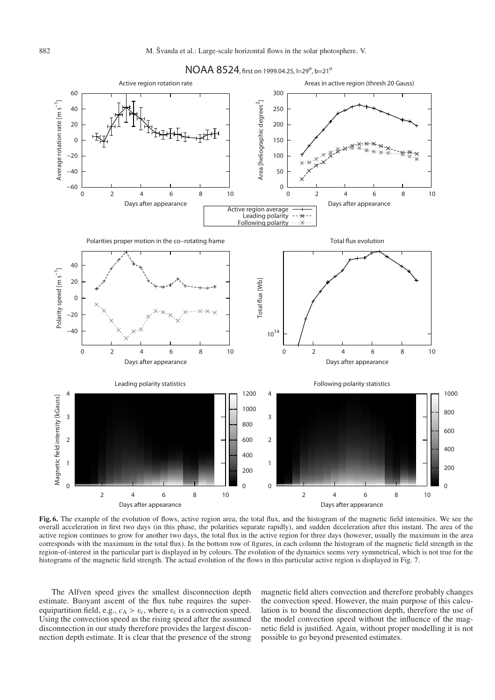

*NOAA 8524, first on 1999.04.25, l=29<sup>o</sup>, b=21<sup>o</sup>* 

**Fig. 6.** The example of the evolution of flows, active region area, the total flux, and the histogram of the magnetic field intensities. We see the overall acceleration in first two days (in this phase, the polarities separate rapidly), and sudden deceleration after this instant. The area of the active region continues to grow for another two days, the total flux in the active region for three days (however, usually the maximum in the area corresponds with the maximum in the total flux). In the bottom row of figures, in each column the histogram of the magnetic field strength in the region-of-interest in the particular part is displayed in by colours. The evolution of the dynamics seems very symmetrical, which is not true for the histograms of the magnetic field strength. The actual evolution of the flows in this particular active region is displayed in Fig. 7.

The Alfven speed gives the smallest disconnection depth estimate. Buoyant ascent of the flux tube requires the superequipartition field, e.g.,  $c_A > v_c$ , where  $v_c$  is a convection speed. Using the convection speed as the rising speed after the assumed disconnection in our study therefore provides the largest disconnection depth estimate. It is clear that the presence of the strong

magnetic field alters convection and therefore probably changes the convection speed. However, the main purpose of this calculation is to bound the disconnection depth, therefore the use of the model convection speed without the influence of the magnetic field is justified. Again, without proper modelling it is not possible to go beyond presented estimates.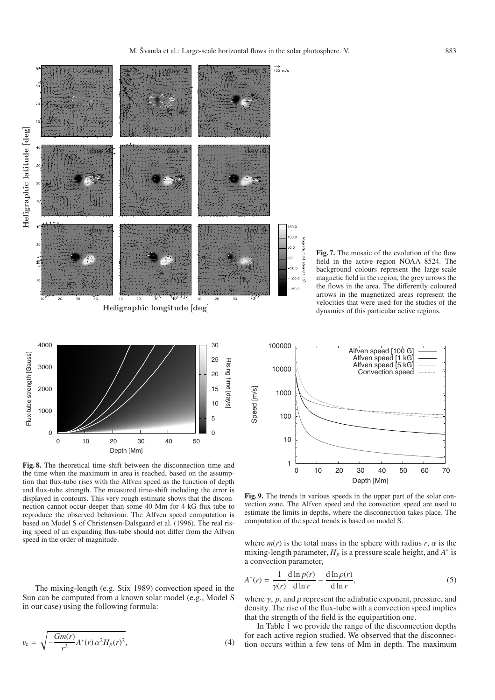

 $\Omega$ 5

**Fig. 7.** The mosaic of the evolution of the flow field in the active region NOAA 8524. The background colours represent the large-scale magnetic field in the region, the grey arrows the the flows in the area. The differently coloured arrows in the magnetized areas represent the velocities that were used for the studies of the dynamics of this particular active regions.



 $\overline{\circ}$ 

**Fig. 8.** The theoretical time-shift between the disconnection time and the time when the maximum in area is reached, based on the assumption that flux-tube rises with the Alfven speed as the function of depth and flux-tube strength. The measured time-shift including the error is displayed in contours. This very rough estimate shows that the disconnection cannot occur deeper than some 40 Mm for 4-kG flux-tube to reproduce the observed behaviour. The Alfven speed computation is based on Model S of Christensen-Dalsgaard et al. (1996). The real rising speed of an expanding flux-tube should not differ from the Alfven speed in the order of magnitude.

 0 10 20 30 40 50 Depth [Mm]

 $\Omega$ 

The mixing-length (e.g. Stix 1989) convection speed in the Sun can be computed from a known solar model (e.g., Model S in our case) using the following formula:

$$
v_{\rm c} = \sqrt{-\frac{Gm(r)}{r^2}A^*(r)\,\alpha^2H_p(r)^2},\tag{4}
$$

**Fig. 9.** The trends in various speeds in the upper part of the solar convection zone. The Alfven speed and the convection speed are used to estimate the limits in depths, where the disconnection takes place. The computation of the speed trends is based on model S.

where  $m(r)$  is the total mass in the sphere with radius  $r, \alpha$  is the mixing-length parameter,  $H_p$  is a pressure scale height, and  $A^*$  is a convection parameter,

$$
A^*(r) = \frac{1}{\gamma(r)} \frac{d \ln p(r)}{d \ln r} - \frac{d \ln \rho(r)}{d \ln r},
$$
\n<sup>(5)</sup>

where  $\gamma$ , *p*, and  $\rho$  represent the adiabatic exponent, pressure, and density. The rise of the flux-tube with a convection speed implies that the strength of the field is the equipartition one.

In Table 1 we provide the range of the disconnection depths for each active region studied. We observed that the disconnection occurs within a few tens of Mm in depth. The maximum